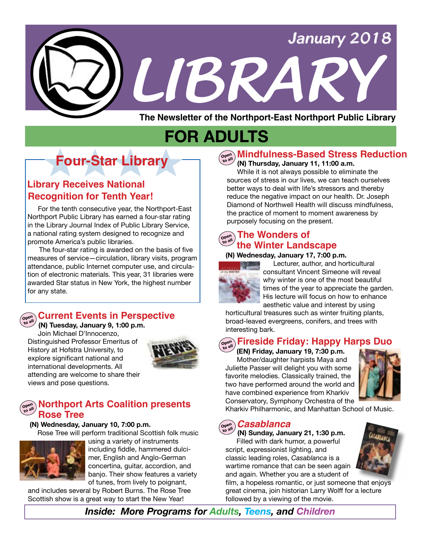

**The Newsletter of the Northport-East Northport Public Library**

# **FOR ADULTS**

# **Four-Star Library**

## **Recognition for Tenth Year! Library Receives National**

For the tenth consecutive year, the Northport-East Northport Public Library has earned a four-star rating in the Library Journal Index of Public Library Service, a national rating system designed to recognize and promote America's public libraries.

 The four-star rating is awarded on the basis of five measures of service—circulation, library visits, program attendance, public Internet computer use, and circulation of electronic materials. This year, 31 libraries were awarded Star status in New York, the highest number for any state.

#### **Open to all Current Events in Perspective**

 **(N) Tuesday, January 9, 1:00 p.m.** 

Join Michael D'Innocenzo, Distinguished Professor Emeritus of History at Hofstra University, to explore significant national and international developments. All attending are welcome to share their views and pose questions.



## **Open Northport Arts Coalition presents**<br>**Rose Tree**

 **(N) Wednesday, January 10, 7:00 p.m.**

Rose Tree will perform traditional Scottish folk music



using a variety of instruments including fiddle, hammered dulcimer, English and Anglo-German concertina, guitar, accordion, and banjo. Their show features a variety of tunes, from lively to poignant,

and includes several by Robert Burns. The Rose Tree Scottish show is a great way to start the New Year!

## **Open to all Mindfulness-Based Stress Reduction**

#### **(N) Thursday, January 11, 11:00 a.m.**

 While it is not always possible to eliminate the sources of stress in our lives, we can teach ourselves better ways to deal with life's stressors and thereby reduce the negative impact on our health. Dr. Joseph Diamond of Northwell Health will discuss mindfulness, the practice of moment to moment awareness by purposely focusing on the present.

#### **The Wonders of Open to all the Winter Landscape**

## **(N) Wednesday, January 17, 7:00 p.m.**



 Lecturer, author, and horticultural consultant Vincent Simeone will reveal why winter is one of the most beautiful times of the year to appreciate the garden. His lecture will focus on how to enhance aesthetic value and interest by using

horticultural treasures such as winter fruiting plants, broad-leaved evergreens, conifers, and trees with interesting bark.

## **Open to all Fireside Friday: Happy Harps Duo**

 **(EN) Friday, January 19, 7:30 p.m.** Mother/daughter harpists Maya and Juliette Passer will delight you with some favorite melodies. Classically trained, the two have performed around the world and have combined experience from Kharkiv Conservatory, Symphony Orchestra of the



Kharkiv Philharmonic, and Manhattan School of Music.

#### **Open to all** *Casablanca*

 **(N) Sunday, January 21, 1:30 p.m.** Filled with dark humor, a powerful script, expressionist lighting, and classic leading roles, *Casablanca* is a wartime romance that can be seen again and again. Whether you are a student of

film, a hopeless romantic, or just someone that enjoys great cinema, join historian Larry Wolff for a lecture followed by a viewing of the movie.

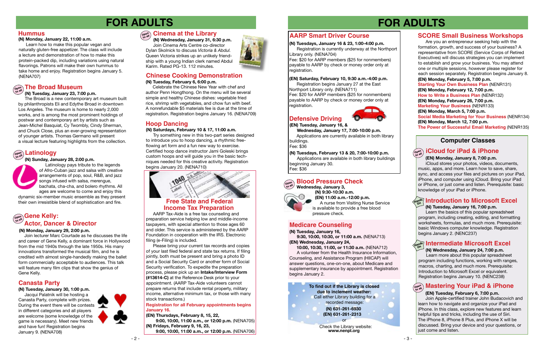# **FOR ADULTS**

## **Computer Classes**

# **FOR ADULTS**

 **(N) Tuesday, January 16, 7:00 p.m.**

Join Apple-certified trainer John Budacovich and learn how to navigate and organize your iPad and iPhone. In this class, explore new features and learn helpful tips and tricks, including the use of Siri. The iPhone 8, iPhone 8 Plus, and iPhone X will be discussed. Bring your device and your questions, or just come and listen.

 Learn the basics of this popular spreadsheet program, including creating, editing, and formatting worksheets, formulas, and much more. Prerequisite: basic Windows computer knowledge. Registration begins January 2. (NENC237)

#### **Open iCloud for iPad & iPhone**

## **Open to all Mastering Your iPad & iPhone**

### **(EN) Tuesday, February 6, 7:00 p.m.**

## **Introduction to Microsoft Excel Hands On**

 **(EN) Monday, January 8, 7:00 p.m.** 

iCloud stores your photos, videos, documents, music, apps, and more. Learn how to save, share, sync, and access your files and pictures on your iPad, iPhone, and computer using iCloud. Bring your iPad or iPhone, or just come and listen. Prerequisite: basic knowledge of your iPad or iPhone.

## **Chinese Cooking Demonstration**

#### **Open to all Latinology**

 **(N) Sunday, January 28, 2:00 p.m.**



 Latinology pays tribute to the legends of Afro-Cuban jazz and salsa with creative arrangements of pop, soul, R&B, and jazz songs infused with salsa, merengue, bachata, cha-cha, and bolero rhythms. All

Fee: \$20 for AARP members (\$25 for nonmembers) payable to AARP by check or money order only at registration.

ages are welcome to come and enjoy this dynamic six-member music ensemble as they present their own irresistible blend of sophistication and fire.

### **(N) Tuesday, February 6, 6:00 p.m.**

#### **Open to all Blood Pressure Check**

 Celebrate the Chinese New Year with chef and author Penn Hongthong. On the menu will be several simple and healthy Chinese dishes: vegetable fried rice, shrimp with vegetables, and chow fun with beef. A nonrefundable \$5 materials fee is due at the time of registration. Registration begins January 16. (NENA709)

# 1040 **Free State and Federal**

### **(N) Tuesday, January 23, 7:00 p.m.**

 The Broad is a new contemporary art museum built by philanthropists Eli and Edythe Broad in downtown Los Angeles. The museum is home to nearly 2,000 works, and is among the most prominent holdings of postwar and contemporary art by artists such as Jean-Michel Basquiat, Cy Twombly, Cindy Sherman, and Chuck Close, plus an ever-growing representation of younger artists. Thomas Germano will present a visual lecture featuring highlights from the collection.

# **Defensive Driving**

## **AARP Smart Driver Course**

**(EN) Tuesday, January 16, &**

 **Wednesday, January 17, 7:00-10:00 p.m.** Applications are currently available in both library buildings.

## **Hands On Intermediate Microsoft Excel**

Fee: \$36

#### **(EN) Saturday, February 10, 9:30 a.m.-4:00 p.m.**

Registration begins January 27 at the East Northport Library only. (NENA711) Fee: \$20 for AARP members (\$25 for nonmembers) payable to AARP by check or money order only at registration.

## **(N) Tuesdays, January 16 & 23, 1:00-4:00 p.m.**

Registration is currently underway at the Northport Library only. (NENA704)

 **Wednesday, January 3, (N) 9:30-10:30 a.m.**



#### **Open Cinema at the Library**

#### **(EN) 11:00 a.m.-12:00 p.m.**  A nurse from Visiting Nurse Service is available to provide a free blood pressure check.

**(N) Tuesday, January 16, 9:30, 10:00, 10:30, or 11:00 a.m.** (NENA713) **(EN) Wednesday, January 24,**

 **10:00, 10:30, 11:00, or 11:30 a.m.** (NENA712) A volunteer from the Health Insurance Information, Counseling, and Assistance Program (HIICAP) will answer questions, one-on-one, about Medicare and supplementary insurance by appointment. Registration begins January 2.

 Please bring your current tax records and copies of your last filed federal and state tax returns. If filing jointly, both must be present and bring a photo ID and a Social Security Card or another form of Social Security verification. To expedite the preparation process, please pick up an **Intake/Interview Form (#13614-C)** at the Reference Desk prior to your appointment. (AARP Tax-Aide volunteers cannot prepare returns that include rental property, military income, alternative minimum tax, or those with many stock transactions.)

## **Medicare Counseling**

#### **Registration for all February appointments begins January 16.**

**(EN) Thursdays, February 8, 15, 22, 9:00, 10:00, 11:00 a.m., or 12:00 p.m.** (NENA705) **(N) Fridays, February 9, 16, 23, 9:00, 10:00, 11:00 a.m., or 12:00 p.m.** (NENA706)



#### **(N) Monday, January 29, 2:00 p.m.**

 Join lecturer Marc Courtade as he discusses the life and career of Gene Kelly, a dominant force in Hollywood from the mid 1940s through the late 1950s. His many innovations transformed the musical film, and he is credited with almost single-handedly making the ballet form commercially acceptable to audiences. This talk will feature many film clips that show the genius of Gene Kelly.

## **Hoop Dancing**

I

#### **(N) Saturdays, February 10 & 17, 11:00 a.m.**

Try something new in this two-part series designed to introduce you to hoop dancing, a rhythmic freeflowing art form and a fun new way to exercise. Certified hoop dance instructor Jami Goleski brings custom hoops and will guide you in the basic techniques needed for this creative activity. Registration begins January 20. (NENA710)

## **(N) Tuesdays, February 13 & 20, 7:00-10:00 p.m.**

Applications are available in both library buildings beginning January 30. Fee: \$36

**To find out if the Library is closed due to inclement weather: (N) 631-261-6930 (EN) 631-261-2313** Call either Library building for a recorded message: or

> Check the Library website: **www.nenpl.org**



#### **(N) Wednesday, January 24, 7:00 p.m.**

 Learn more about this popular spreadsheet program including functions, working with ranges, macros, charting, and much more. Prerequisite: Introduction to Microsoft Excel or equivalent. Registration begins January 10. (NENC238)

## **SCORE Small Business Workshops**

 Are you an entrepreneur seeking help with the formation, growth, and success of your business? A representative from SCORE (Service Corps of Retired Executives) will discuss strategies you can implement to establish and grow your business. You may attend one or multiple sessions, however please register for each session separately. Registration begins January 8. **(EN) Monday, February 5, 7:00 p.m. Starting Your Own Business Plan** (NENR131) **(EN) Monday, February 12, 7:00 p.m. How to Write a Business Plan** (NENR132) **(EN) Monday, February 26, 7:00 p.m. Marketing Your Business** (NENR133) **(EN) Monday, March 5, 7:00 p.m. Social Media Marketing for Your Business** (NENR134) **(EN) Monday, March 12, 7:00 p.m. The Power of Successful Email Marketing** (NENR135)

## **Open to all Gene Kelly: Actor, Dancer & Director**

 **(N) Wednesday, January 31, 6:30 p.m.** Join Cinema Arts Centre co-director Dylan Skolnick to discuss *Victoria & Abdul.* Queen Victoria strikes up an unlikely friendship with a young Indian clerk named Abdul Karim. Rated PG-13. 112 minutes.

## **Canasta Party**

#### **(N) Tuesday, January 30, 1:00 p.m.**

 Jacqui Palatnik will be hosting a Canasta Party, complete with prizes. During the event there will be contests in different categories and all players are welcome (some knowledge of the game is necessary). Meet new friends and have fun! Registration begins January 9. (NENA708)



**Income Tax Preparation** AARP Tax-Aide is a free tax counseling and preparation service helping low and middle-income taxpayers, with special attention to those ages 60 and older. This service is administered by the AARP Foundation in cooperation with the IRS. Electronic filing (e-Filing) is included.

## **Hummus**

#### **(N) Monday, January 22, 11:00 a.m.**

 Learn how to make this popular vegan and naturally gluten-free appetizer. The class will include a lecture and demonstration of how to make this protein-packed dip, including variations using natural flavorings. Patrons will make their own hummus to take home and enjoy. Registration begins January 5. (NENA707)

## $\left(\begin{smallmatrix} \mathsf{open}\ \mathsf{open}\ \end{smallmatrix}\right)$  The Broad Museum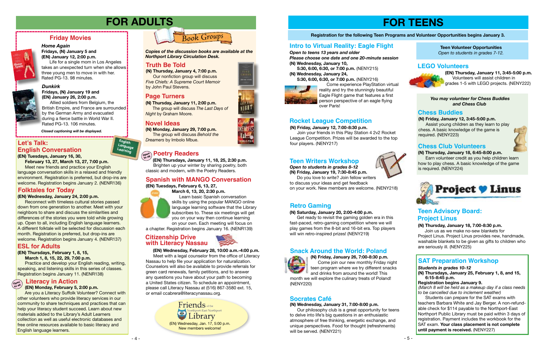# **FOR TEENS**

## **Registration for the following Teen Programs and Volunteer Opportunities begins January 3.**

**(N) Friday, January 26, 7:00-8:30 p.m.** Come join our new monthly Friday night teen program where we try different snacks and drinks from around the world! This month we will explore the culinary treats of Poland!

(NENY220)

## **Snack Around the World: Poland**





### *Dunkirk*



**Fridays, (N) January 19 and (EN) January 26, 2:00 p.m.**

takes an unexpected turn when she allows! three young men to move in with her. Rated PG-13. 98 minutes.

Allied soldiers from Belgium, the British Empire, and France are surrounded by the German Army and evacuated during a fierce battle in World War II. Rated PG-13. 106 minutes.

## **Friday Movies**



#### *Home Again* **Fridays, (N) January 5 and**

**(EN) January 12, 2:00 p.m.**  Life for a single mom in Los Angeles

*Closed captioning will be displayed.*

# **FOR ADULTS**

#### **Open Literacy in Action**

**(N) Thursday, January 4, 7:00 p.m.** Our nonfiction group will discuss *Five Chiefs: A Supreme Court Memoir* by John Paul Stevens.



**(N) Monday, January 29, 7:00 p.m.** The group will discuss *Behold the Dreamers* by Imbolo Mbue.

## $\left(\begin{smallmatrix} \mathbf{open}\\ \mathbf{open}\end{smallmatrix}\right)$  **Poetry Readers**

## **Truth Be Told Truth Be Told**

**(N) Thursday, January 11, 2:00 p.m.** The group will discuss *The Last Days of Night* by Graham Moore.

*Copies of the discussion books are available at the Northport Library Circulation Desk.* 

## **Novel Ideas**

## **Page Turners**

#### **(N) Thursday, January 18, 7:00-8:30 p.m.**

 Join us as we make no-sew blankets for Project Linus. Project Linus provides new, handmade, washable blankets to be given as gifts to children who are seriously ill. (NENY225)

**(N) Thursday, January 18, 6:45-8:00 p.m.** Earn volunteer credit as you help children learn how to play chess. A basic knowledge of the game

## **Teen Advisory Board: Project Linus**



## **Chess Club Volunteers**

**English Language Learning**

## **(EN) Monday, February 5, 2:00 p.m.**

 Are you a Literacy Suffolk Volunteer? Connect with other volunteers who provide literacy services in our community to share techniques and practices that can help your literacy student succeed. Learn about new materials added to the Library's Adult Learners collection as well as useful electronic databases and free online resources available to basic literacy and English language learners.

**Reconnect with timeless cultural stories passed** down from one generation to another. Meet with your neighbors to share and discuss the similarities and differences of the stories you were told while growing up. Open to all, including English language learners. A different folktale will be selected for discussion each month. Registration is preferred, but drop-ins are welcome. Registration begins January 4. (NENR137)

*Open to teens 13 years and older*

*Please choose one date and one 20-minute session* **(N) Wednesday, January 10,**

 **5:30, 6:00, 6:30, or 7:00 p.m.** (NENY215) **(N) Wednesday, January 24,**

**Friends** of the orthport-East Northport Library (EN) Wednesday, Jan. 17, 5:00 p.m. New members welcome!



 **5:30, 6:00, 6:30, or 7:00 p.m.** (NENY216)



Come experience PlayStation virtual reality and try the stunningly beautiful Eagle Flight game that features a first person perspective of an eagle flying

over Paris!

## **Intro to Virtual Reality: Eagle Flight**

### **(N) Friday, January 12, 7:00-8:30 p.m.**

 Join your friends in this Play Station 4 2v2 Rocket League Competition. Prizes will be awarded to the top four players. (NENY217)

## **Rocket League Competition**

 **(EN) Wednesday, February 28, 10:00 a.m.-4:00 p.m.** Meet with a legal counselor from the office of Literacy Nassau to help file your application for naturalization. Counselors will also be available to provide referrals for green card renewals, family petitions, and to answer any questions you have about your path to becoming a United States citizen. To schedule an appointment, please call Literacy Nassau at (516) 867-3580 ext. 15, or email ccabrera@literacynassau.org.

*You may volunteer for Chess Buddies and Chess Club*

#### **(N) Saturday, January 20, 2:00-4:00 p.m.**

 Get ready to revisit the gaming golden era in this fast-paced, retro-gaming competition where we will play games from the 8-bit and 16-bit era. Top players will win retro-inspired prizes! (NENY219)

## **Retro Gaming**

**Teen Volunteer Opportunities** *Open to students in grades 7-12.*

## **Spanish with MANGO Conversation**

**(EN) Tuesdays, January 16, 30, February 13, 27, March 13, 27, 7:00 p.m.** 

Meet new friends and practice your English language conversation skills in a relaxed and friendly environment. Registration is preferred, but drop-ins are welcome. Registration begins January 2. (NENR136)

## **Let's Talk: English Conversation**

### **(EN) Wednesday, January 24, 2:00 p.m.**

## **Citizenship Drive with Literacy Nassau**



## **Folktales for Today**

**(EN) Thursdays, February 1, 8, 15,**

 **March 1, 8, 15, 22, 29, 7:00 p.m. Practice and develop your English reading, writing,** speaking, and listening skills in this series of classes. Registration begins January 11. (NENR138)

## **ESL for Adults**

### **(EN) Tuesdays, February 6, 13, 27,**



**March 6, 13, 20, 2:30 p.m.** Learn basic Spanish conversation skills by using the popular MANGO online language learning software that the Library subscribes to. These six meetings will get you on your way then continue learning on your own. Each meeting will focus on

a chapter. Registration begins January 16. (NENR139)

*Open to students in grades 8-12* **(N) Friday, January 19, 7:30-8:45 p.m.**

 Do you love to write? Join fellow writers to discuss your ideas and get feedback on your work. New members are welcome. (NENY218)

## **Teen Writers Workshop**

**(N) Wednesday, January 31, 7:00-8:00 p.m.** Our philosophy club is a great opportunity for teens to delve into life's big questions in an enthusiastic atmosphere of free thinking, energetic exchange, and unique perspectives. Food for thought (refreshments) will be served. (NENY221)

## **Socrates Café**

**(EN) Thursday, January 11, 3:45-5:00 p.m.** Volunteers will assist children in grades 1-5 with LEGO projects. (NENY222)

## **LEGO Volunteers**



#### **(N) Friday, January 12, 3:45-5:00 p.m.**

 Assist young children as they learn to play chess. A basic knowledge of the game is required. (NENY223)

## **Chess Buddies**

#### *Students in grades 10-12*

**(N) Thursdays, January 25, February 1, 8, and 15, 6:15-8:45 p.m.** 

#### **Registration begins January 9.**

*(March 8 will be held as a makeup day if a class needs to be cancelled due to inclement weather)*

Students can prepare for the SAT exams with teachers Barbara White and Jay Berger. A non-refundable check for \$114 payable to the Northport-East Northport Public Library must be paid within 3 days of registration. Payment includes the workbook for the SAT exam. **Your class placement is not complete until payment is received.** (NENY227)

## **SAT Preparation Workshop**

 **(EN) Thursdays, January 11, 18, 25, 2:30 p.m.** Brighten up your winter by sharing poetry, both classic and modern, with the Poetry Readers.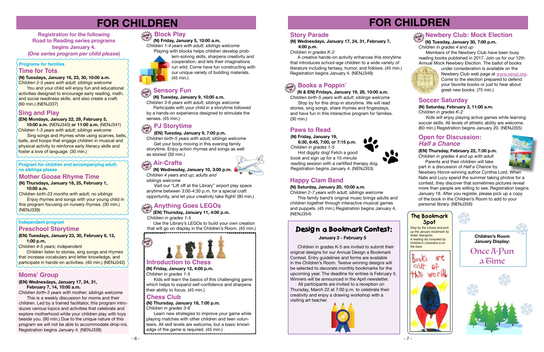



# **FOR CHILDREN**

# **FOR CHILDREN**

## **drop in Newbery Club: Mock Election**

 **(N) Tuesday, January 30, 7:00 p.m.** *Children in grades 4 and up*

Members of the Newbery Club have been busy reading books published in 2017. Join us for our 12th Annual Mock Newbery Election. The ballot of books



under consideration is available on the Newbery Club web page at www.nenpl.org. Come to the election prepared to defend your favorite books or just to hear about great new books. (75 min.)

Use the Library's LEGOs to build your own creation that will go on display in the Children's Room. (45 min.)

**in (N) Wednesday, January 10, 3:00 p.m.** *Children 4 years and up; adults and*

## **drop Air-Crafts**

*Stop by the Library and pick up the January bookmark by Aidan Giangiulio. A reading list compiled by Children's Librarians is on the back.*



## **The Bookmark Spot**

*Children in grades 1-5*

*siblings welcome* 

Visit our "Lift off at the Library" airport play space anytime between 3:00-4:30 p.m. for a special craft opportunity, and let your creativity take flight! (90 min.)

## $\frac{1}{\alpha_0 \alpha_0^2}$  Anything Goes LEGOs

 **(EN) Thursday, January 11, 4:00 p.m. in**



## **Paws to Read**

**(N) Friday, January 19, 6:30, 6:45, 7:00, or 7:15 p.m.**

*Children in grades 1-5* Hot diggity dog! Fetch a good book and sign up for a 15-minute reading session with a certified therapy dog. Registration begins January 4. (NENJ353)

**Enjoy rhymes and songs with your young child in** this program focusing on nursery rhymes. (30 min.) (NENJ339)

**(N) Tuesdays, January 16, 23, 30, 10:00 a.m.** 

*Children 2-5 years with adult; siblings welcome* You and your child will enjoy fun and educational activities designed to encourage early reading, math, and social readiness skills, and also create a craft. (60 min.) (NENJ337)

## **Sing and Play**

#### **(EN) Mondays, January 22, 29, February 5,**

**10:00 a.m.** (NENJ340) **or 11:00 a.m.** (NENJ341) *Children 1-3 years with adult; siblings welcome*

 Sing songs and rhymes while using scarves, bells, balls, and hoops that engage children in musical and physical activity to reinforce early literacy skills and foster a love of language. (30 min.)

### **Programs for families**

**Registration for the following Road to Reading series programs begins January 4. (***One series program per child please***)** 

## **Time for Tots**

#### **(EN) Tuesdays, January 23, 30, February 6, 13, 1:00 p.m.**

*Children 4-5 years; independent*

## **Independent program Preschool Storytime**

Children listen to stories, sing songs and rhymes that increase vocabulary and letter knowledge, and participate in hands-on activities. (40 min.) (NENJ342)

### **Mother Goose Rhyme Time**

#### **(N) Thursdays, January 18, 25, February 1, 10:00 a.m.**

*Children birth-23 months with adult; no siblings*

*Children 2-7 years with adult; siblings welcome* This family band's original music brings adults and

#### **Program for children and accompanying adult; no siblings please**

## **(EN) Wednesdays, January 17, 24, 31,**

Kids will enjoy playing active games while learning soccer skills. All levels of athletic ability are welcome. (60 min.) Registration begins January 20. (NENJ355)

**(EN) Thursday, February 22, 7:30 p.m.** *Children in grades 4 and up with adult* Parents and their children will take

**February 7, 14, 10:00 a.m.**

*Children birth-3 years with mother; siblings welcome* This is a weekly discussion for moms and their

children. Led by a trained facilitator, this program introduces various topics and activities that celebrate and explore motherhood while your children play with toys beside you. (90 min.) Due to the unique nature of this program we will not be able to accommodate drop-ins. Registration begins January 4. (NENJ338)

## **Moms' Group**

## **(N) Friday, January 5, 10:00 a.m.**

*Children 1-4 years with adult; siblings welcome* Playing with blocks helps children develop prob-



lem-solving skills, sharpens creativity and cooperation, and lets their imaginations run wild. Come have fun constructing with our unique variety of building materials. (45 min.)

## **drop in Block Play**

*Children 3-6 years with adult; siblings welcome* Participate with your child in a storytime followed

#### **Sensory Fun drop**

 **(N) Tuesday, January 9, 10:00 a.m. in**

by a hands-on experience designed to stimulate the senses. (45 min.)

 **(EN) Tuesday, January 9, 7:00 p.m.**

# **PJ Storytime drop in**

*Children birth-5 years with adult; siblings welcome* Get your body moving in this evening family storytime. Enjoy action rhymes and songs as well as stories! (30 min.)

## **Chess Club**

**(N) Thursday, January 18, 7:00 p.m.** *Children in grades 3-6*

 Learn new strategies to improve your game while playing matches with other children and teen volunteers. All skill levels are welcome, but a basic knowledge of the game is required. (45 min.)

## **Introduction to Chess**

**(N) Friday, January 12, 4:00 p.m.** *Children in grades 1-5*

 Kids will learn the basics of this challenging game which helps to expand self-confidence and sharpens their ability to focus. (45 min.)



#### **(N) Wednesdays, January 17, 24, 31, February 7, 4:00 p.m.**

## *Children in grades K-2*

A creative hands-on activity enhances this storytime that introduces school-age children to a wide variety of literature including fantasy, humor, and folklore. (45 min.) Registration begins January 4. (NENJ349)

## **Story Parade**

 **(N & EN) Fridays, January 19, 26, 10:00 a.m.**

*Children birth-5 years with adult*; *siblings welcome*  Stop by for this drop-in storytime. We will read stories, sing songs, share rhymes and fingerplays, and have fun in this interactive program for families. (30 min.)

## **drop in Books a Poppin'**

### **(N) Saturday, January 20, 10:00 a.m.**

children together through interactive musical games and puppets. (45 min.) Registration begins January 4. (NENJ354)



## **(N) Saturday, February 3, 11:00 a.m.**

*Children in grades K-2*

## **Soccer Saturday**

part in a discussion of *Half a Chance* by

Newbery Honor-winning author Cynthia Lord. When Nate and Lucy spend the summer taking photos for a contest, they discover that sometimes pictures reveal more than people are willing to see. Registration begins January 18. After you register, please pick up a copy of the book in the Children's Room to add to your personal library. (NENJ356)

## **Open for Discussion:** *Half a Chance*

## **Desig n a Bookmark Contest:**

 Children in grades K-5 are invited to submit their original designs for our Annual Design a Bookmark Contest. Entry guidelines and forms are available in the Children's Room. Twelve winning designs will be selected to decorate monthly bookmarks for the upcoming year. The deadline for entries is February 5. Winners will be announced in the April newsletter.

All participants are invited to a reception on Thursday, March 22 at 7:00 p.m. to celebrate their creativity and enjoy a drawing workshop with a visiting art teacher.



### **January 2 - February 5**